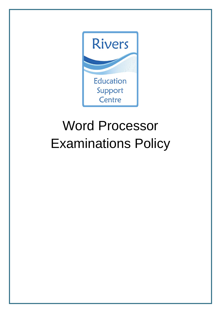

# Word Processor Examinations Policy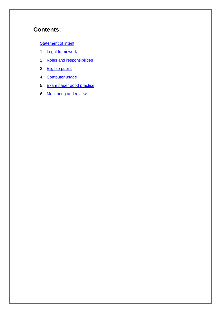## **Contents:**

#### **[Statement of intent](#page-2-0)**

- 1. **Legal framework**
- 2. [Roles and responsibilities](#page-3-1)
- 3. [Eligible pupils](#page-4-0)
- 4. [Computer usage](#page-5-0)
- 5. Exam paper good practice
- 6. [Monitoring and review](#page-6-1)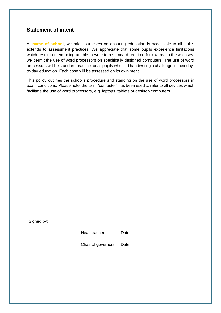## <span id="page-2-0"></span>**Statement of intent**

At **name of school**, we pride ourselves on ensuring education is accessible to all – this extends to assessment practices. We appreciate that some pupils experience limitations which result in them being unable to write to a standard required for exams. In these cases, we permit the use of word processors on specifically designed computers. The use of word processors will be standard practice for all pupils who find handwriting a challenge in their dayto-day education. Each case will be assessed on its own merit.

This policy outlines the school's procedure and standing on the use of word processors in exam conditions. Please note, the term "computer" has been used to refer to all devices which facilitate the use of word processors, e.g. laptops, tablets or desktop computers.

Signed by:

Headteacher Date:

Chair of governors Date: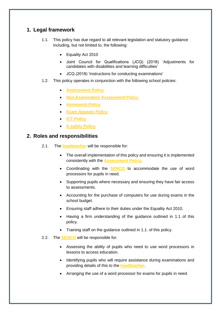## <span id="page-3-0"></span>**1. Legal framework**

- 1.1. This policy has due regard to all relevant legislation and statutory guidance including, but not limited to, the following:
	- Equality Act 2010
	- Joint Council for Qualifications (JCQ) (2018) 'Adjustments for candidates with disabilities and learning difficulties'
	- JCQ (2018) 'Instructions for conducting examinations'
- 1.2. This policy operates in conjunction with the following school policies:
	- **Assessment Policy**
	- **Non-Examination Assessment Policy**
	- **Homework Policy**
	- **Exam Appeals Policy**
	- **ICT Policy**
	- **E-safety Policy**

#### <span id="page-3-1"></span>**2. Roles and responsibilities**

- 2.1. The **headteacher** will be responsible for:
	- The overall implementation of this policy and ensuring it is implemented consistently with the **Assessment Policy**.
	- Coordinating with the **SENCO** to accommodate the use of word processors for pupils in need.
	- Supporting pupils where necessary and ensuring they have fair access to assessments.
	- Accounting for the purchase of computers for use during exams in the school budget.
	- Ensuring staff adhere to their duties under the Equality Act 2010.
	- Having a firm understanding of the guidance outlined in 1.1 of this policy.
	- Training staff on the guidance outlined in 1.1. of this policy.
- 2.2. The **SENCO** will be responsible for:
	- Assessing the ability of pupils who need to use word processors in lessons to access education.
	- Identifying pupils who will require assistance during examinations and providing details of this to the **headteacher**.
	- Arranging the use of a word processor for exams for pupils in need.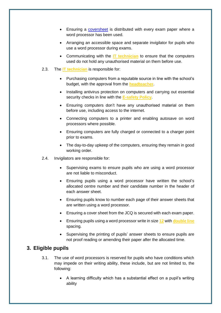- Ensuring a [coversheet](https://www.jcq.org.uk/exams-office/access-arrangements-and-special-consideration/forms/form-4-word-processor-cover-sheet) is distributed with every exam paper where a word processor has been used.
- Arranging an accessible space and separate invigilator for pupils who use a word processor during exams.
- Communicating with the **IT technician** to ensure that the computers used do not hold any unauthorised material on them before use.
- 2.3. The **IT technician** is responsible for:
	- Purchasing computers from a reputable source in line with the school's budget, with the approval from the **headteacher**.
	- Installing antivirus protection on computers and carrying out essential security checks in line with the **E-safety Policy**.
	- Ensuring computers don't have any unauthorised material on them before use, including access to the internet.
	- Connecting computers to a printer and enabling autosave on word processors where possible.
	- Ensuring computers are fully charged or connected to a charger point prior to exams.
	- The day-to-day upkeep of the computers, ensuring they remain in good working order.
- 2.4. Invigilators are responsible for:
	- Supervising exams to ensure pupils who are using a word processor are not liable to misconduct.
	- Ensuring pupils using a word processor have written the school's allocated centre number and their candidate number in the header of each answer sheet.
	- Ensuring pupils know to number each page of their answer sheets that are written using a word processor.
	- Ensuring a cover sheet from the JCQ is secured with each exam paper.
	- Ensuring pupils using a word processor write in size **12** with **double line** spacing.
	- Supervising the printing of pupils' answer sheets to ensure pupils are not proof reading or amending their paper after the allocated time.

## <span id="page-4-0"></span>**3. Eligible pupils**

- 3.1. The use of word processors is reserved for pupils who have conditions which may impede on their writing ability, these include, but are not limited to, the following:
	- A learning difficulty which has a substantial effect on a pupil's writing ability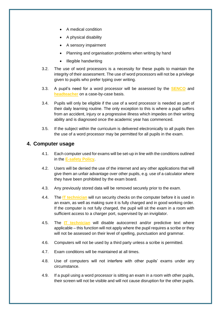- A medical condition
- A physical disability
- A sensory impairment
- Planning and organisation problems when writing by hand
- Illegible handwriting
- 3.2. The use of word processors is a necessity for these pupils to maintain the integrity of their assessment. The use of word processors will not be a privilege given to pupils who prefer typing over writing.
- 3.3. A pupil's need for a word processor will be assessed by the **SENCO** and **headteacher** on a case-by-case basis.
- 3.4. Pupils will only be eligible if the use of a word processor is needed as part of their daily learning routine. The only exception to this is where a pupil suffers from an accident, injury or a progressive illness which impedes on their writing ability and is diagnosed once the academic year has commenced.
- 3.5. If the subject within the curriculum is delivered electronically to all pupils then the use of a word processor may be permitted for all pupils in the exam.

## <span id="page-5-0"></span>**4. Computer usage**

- 4.1. Each computer used for exams will be set-up in line with the conditions outlined in the **E-safety Policy**.
- 4.2. Users will be denied the use of the internet and any other applications that will give them an unfair advantage over other pupils, e.g. use of a calculator where they have been prohibited by the exam board.
- 4.3. Any previously stored data will be removed securely prior to the exam.
- 4.4. The **IT technician** will run security checks on the computer before it is used in an exam, as well as making sure it is fully charged and in good working order. If the computer is not fully charged, the pupil will sit the exam in a room with sufficient access to a charger port, supervised by an invigilator.
- 4.5. The **IT technician** will disable autocorrect and/or predictive text where applicable – this function will not apply where the pupil requires a scribe or they will not be assessed on their level of spelling, punctuation and grammar.
- 4.6. Computers will not be used by a third party unless a scribe is permitted.
- 4.7. Exam conditions will be maintained at all times.
- 4.8. Use of computers will not interfere with other pupils' exams under any circumstance.
- 4.9. If a pupil using a word processor is sitting an exam in a room with other pupils, their screen will not be visible and will not cause disruption for the other pupils.